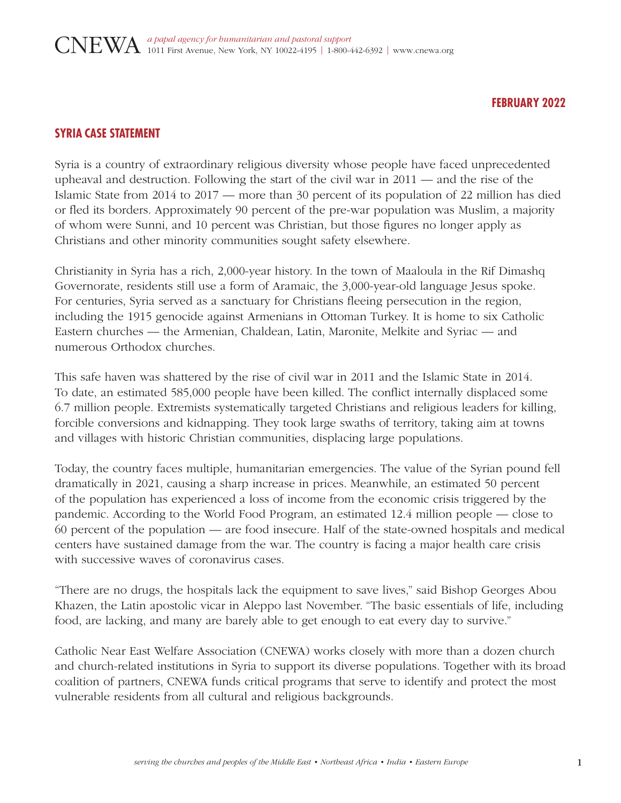## **FEBRUARY 2022**

# **SYRIA CASE STATEMENT**

Syria is a country of extraordinary religious diversity whose people have faced unprecedented upheaval and destruction. Following the start of the civil war in 2011 — and the rise of the Islamic State from 2014 to 2017 — more than 30 percent of its population of 22 million has died or fled its borders. Approximately 90 percent of the pre-war population was Muslim, a majority of whom were Sunni, and 10 percent was Christian, but those figures no longer apply as Christians and other minority communities sought safety elsewhere.

Christianity in Syria has a rich, 2,000-year history. In the town of Maaloula in the Rif Dimashq Governorate, residents still use a form of Aramaic, the 3,000-year-old language Jesus spoke. For centuries, Syria served as a sanctuary for Christians fleeing persecution in the region, including the 1915 genocide against Armenians in Ottoman Turkey. It is home to six Catholic Eastern churches — the Armenian, Chaldean, Latin, Maronite, Melkite and Syriac — and numerous Orthodox churches.

This safe haven was shattered by the rise of civil war in 2011 and the Islamic State in 2014. To date, an estimated 585,000 people have been killed. The conflict internally displaced some 6.7 million people. Extremists systematically targeted Christians and religious leaders for killing, forcible conversions and kidnapping. They took large swaths of territory, taking aim at towns and villages with historic Christian communities, displacing large populations.

Today, the country faces multiple, humanitarian emergencies. The value of the Syrian pound fell dramatically in 2021, causing a sharp increase in prices. Meanwhile, an estimated 50 percent of the population has experienced a loss of income from the economic crisis triggered by the pandemic. According to the World Food Program, an estimated 12.4 million people — close to 60 percent of the population — are food insecure. Half of the state-owned hospitals and medical centers have sustained damage from the war. The country is facing a major health care crisis with successive waves of coronavirus cases.

"There are no drugs, the hospitals lack the equipment to save lives," said Bishop Georges Abou Khazen, the Latin apostolic vicar in Aleppo last November. "The basic essentials of life, including food, are lacking, and many are barely able to get enough to eat every day to survive."

Catholic Near East Welfare Association (CNEWA) works closely with more than a dozen church and church-related institutions in Syria to support its diverse populations. Together with its broad coalition of partners, CNEWA funds critical programs that serve to identify and protect the most vulnerable residents from all cultural and religious backgrounds.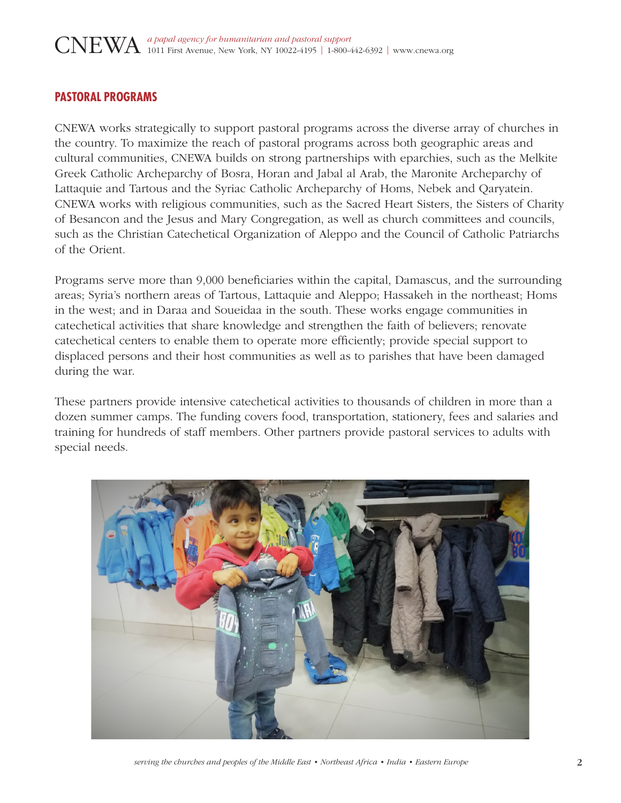# **PASTORAL PROGRAMS**

CNEWA works strategically to support pastoral programs across the diverse array of churches in the country. To maximize the reach of pastoral programs across both geographic areas and cultural communities, CNEWA builds on strong partnerships with eparchies, such as the Melkite Greek Catholic Archeparchy of Bosra, Horan and Jabal al Arab, the Maronite Archeparchy of Lattaquie and Tartous and the Syriac Catholic Archeparchy of Homs, Nebek and Qaryatein. CNEWA works with religious communities, such as the Sacred Heart Sisters, the Sisters of Charity of Besancon and the Jesus and Mary Congregation, as well as church committees and councils, such as the Christian Catechetical Organization of Aleppo and the Council of Catholic Patriarchs of the Orient.

Programs serve more than 9,000 beneficiaries within the capital, Damascus, and the surrounding areas; Syria's northern areas of Tartous, Lattaquie and Aleppo; Hassakeh in the northeast; Homs in the west; and in Daraa and Soueidaa in the south. These works engage communities in catechetical activities that share knowledge and strengthen the faith of believers; renovate catechetical centers to enable them to operate more efficiently; provide special support to displaced persons and their host communities as well as to parishes that have been damaged during the war.

These partners provide intensive catechetical activities to thousands of children in more than a dozen summer camps. The funding covers food, transportation, stationery, fees and salaries and training for hundreds of staff members. Other partners provide pastoral services to adults with special needs.



*serving the churches and peoples of the Middle East • Northeast Africa • India • Eastern Europe* 2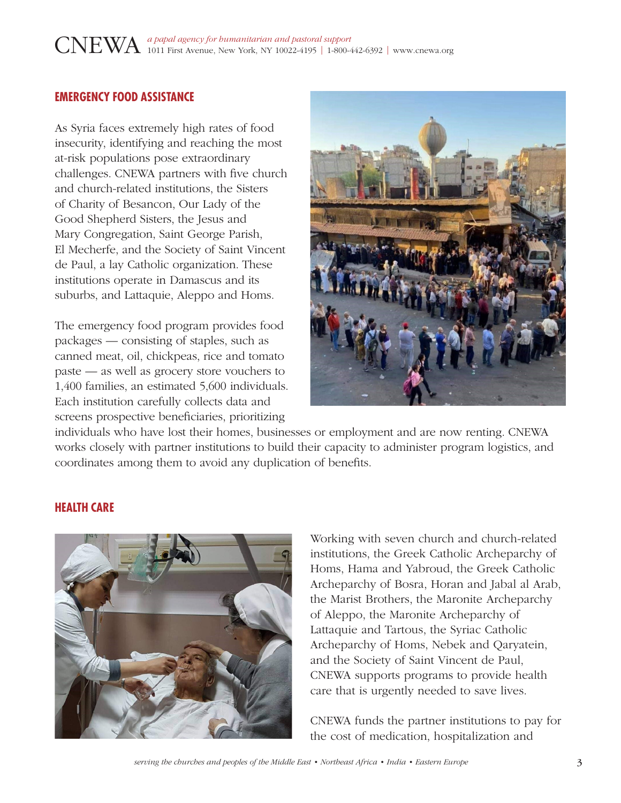# **EMERGENCY FOOD ASSISTANCE**

As Syria faces extremely high rates of food insecurity, identifying and reaching the most at-risk populations pose extraordinary challenges. CNEWA partners with five church and church-related institutions, the Sisters of Charity of Besancon, Our Lady of the Good Shepherd Sisters, the Jesus and Mary Congregation, Saint George Parish, El Mecherfe, and the Society of Saint Vincent de Paul, a lay Catholic organization. These institutions operate in Damascus and its suburbs, and Lattaquie, Aleppo and Homs.

The emergency food program provides food packages — consisting of staples, such as canned meat, oil, chickpeas, rice and tomato paste — as well as grocery store vouchers to 1,400 families, an estimated 5,600 individuals. Each institution carefully collects data and screens prospective beneficiaries, prioritizing



individuals who have lost their homes, businesses or employment and are now renting. CNEWA works closely with partner institutions to build their capacity to administer program logistics, and coordinates among them to avoid any duplication of benefits.

#### **HEALTH CARE**



Working with seven church and church-related institutions, the Greek Catholic Archeparchy of Homs, Hama and Yabroud, the Greek Catholic Archeparchy of Bosra, Horan and Jabal al Arab, the Marist Brothers, the Maronite Archeparchy of Aleppo, the Maronite Archeparchy of Lattaquie and Tartous, the Syriac Catholic Archeparchy of Homs, Nebek and Qaryatein, and the Society of Saint Vincent de Paul, CNEWA supports programs to provide health care that is urgently needed to save lives.

CNEWA funds the partner institutions to pay for the cost of medication, hospitalization and